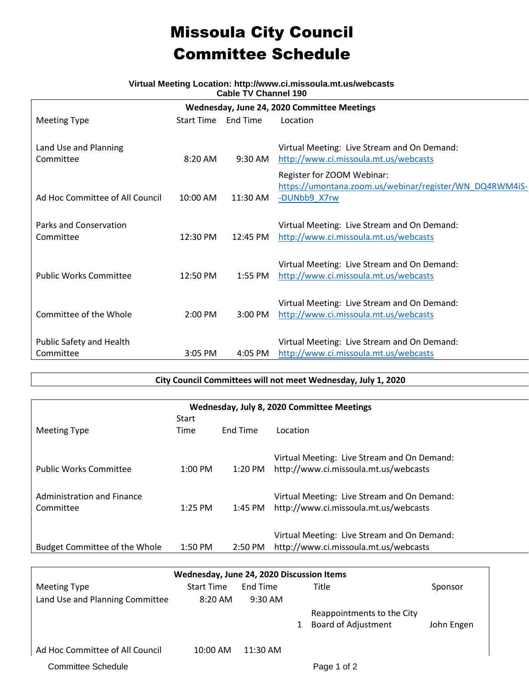# Missoula City Council Committee Schedule

### **Virtual Meeting Location: http://www.ci.missoula.mt.us/webcasts Cable TV Channel 190**

| Wednesday, June 24, 2020 Committee Meetings |                    |                   |                                                         |  |  |  |  |
|---------------------------------------------|--------------------|-------------------|---------------------------------------------------------|--|--|--|--|
| <b>Meeting Type</b>                         | <b>Start Time</b>  | <b>End Time</b>   | Location                                                |  |  |  |  |
|                                             |                    |                   |                                                         |  |  |  |  |
| Land Use and Planning                       |                    |                   | Virtual Meeting: Live Stream and On Demand:             |  |  |  |  |
| Committee                                   | $8:20$ AM          | $9:30 \text{ AM}$ | http://www.ci.missoula.mt.us/webcasts                   |  |  |  |  |
|                                             |                    |                   | Register for ZOOM Webinar:                              |  |  |  |  |
|                                             |                    |                   | https://umontana.zoom.us/webinar/register/WN_DQ4RWM4iS- |  |  |  |  |
| Ad Hoc Committee of All Council             | $10:00$ AM         | $11:30$ AM        | -DUNbb9 X7rw                                            |  |  |  |  |
|                                             |                    |                   |                                                         |  |  |  |  |
| <b>Parks and Conservation</b>               |                    |                   | Virtual Meeting: Live Stream and On Demand:             |  |  |  |  |
| Committee                                   | 12:30 PM           | 12:45 PM          | http://www.ci.missoula.mt.us/webcasts                   |  |  |  |  |
|                                             |                    |                   |                                                         |  |  |  |  |
|                                             |                    |                   | Virtual Meeting: Live Stream and On Demand:             |  |  |  |  |
| <b>Public Works Committee</b>               | $12:50 \text{ PM}$ | $1:55$ PM         | http://www.ci.missoula.mt.us/webcasts                   |  |  |  |  |
|                                             |                    |                   |                                                         |  |  |  |  |
|                                             |                    |                   | Virtual Meeting: Live Stream and On Demand:             |  |  |  |  |
| Committee of the Whole                      | 2:00 PM            | $3:00$ PM         | http://www.ci.missoula.mt.us/webcasts                   |  |  |  |  |
|                                             |                    |                   |                                                         |  |  |  |  |
| Public Safety and Health                    |                    |                   | Virtual Meeting: Live Stream and On Demand:             |  |  |  |  |
| Committee                                   | $3:05$ PM          | $4:05$ PM         | http://www.ci.missoula.mt.us/webcasts                   |  |  |  |  |

### **City Council Committees will not meet Wednesday, July 1, 2020**

| Wednesday, July 8, 2020 Committee Meetings |              |                   |                                             |  |  |  |
|--------------------------------------------|--------------|-------------------|---------------------------------------------|--|--|--|
|                                            | <b>Start</b> |                   |                                             |  |  |  |
| <b>Meeting Type</b>                        | Time         | <b>End Time</b>   | Location                                    |  |  |  |
|                                            |              |                   |                                             |  |  |  |
|                                            |              |                   | Virtual Meeting: Live Stream and On Demand: |  |  |  |
| <b>Public Works Committee</b>              | $1:00$ PM    | 1:20 PM           | http://www.ci.missoula.mt.us/webcasts       |  |  |  |
|                                            |              |                   |                                             |  |  |  |
| Administration and Finance                 |              |                   | Virtual Meeting: Live Stream and On Demand: |  |  |  |
| Committee                                  | $1:25$ PM    | 1:45 PM           | http://www.ci.missoula.mt.us/webcasts       |  |  |  |
|                                            |              |                   |                                             |  |  |  |
|                                            |              |                   | Virtual Meeting: Live Stream and On Demand: |  |  |  |
| <b>Budget Committee of the Whole</b>       | $1:50$ PM    | $2:50 \text{ PM}$ | http://www.ci.missoula.mt.us/webcasts       |  |  |  |
|                                            |              |                   |                                             |  |  |  |

| Wednesday, June 24, 2020 Discussion Items |                   |            |  |                            |            |  |  |
|-------------------------------------------|-------------------|------------|--|----------------------------|------------|--|--|
| <b>Meeting Type</b>                       | <b>Start Time</b> | End Time   |  | Title                      | Sponsor    |  |  |
| Land Use and Planning Committee           | $8:20$ AM         | $9:30$ AM  |  |                            |            |  |  |
|                                           |                   |            |  | Reappointments to the City |            |  |  |
|                                           |                   |            |  | <b>Board of Adjustment</b> | John Engen |  |  |
|                                           |                   |            |  |                            |            |  |  |
| Ad Hoc Committee of All Council           | 10:00 AM          | $11:30$ AM |  |                            |            |  |  |
| <b>Committee Schedule</b>                 |                   |            |  | Page 1 of 2                |            |  |  |